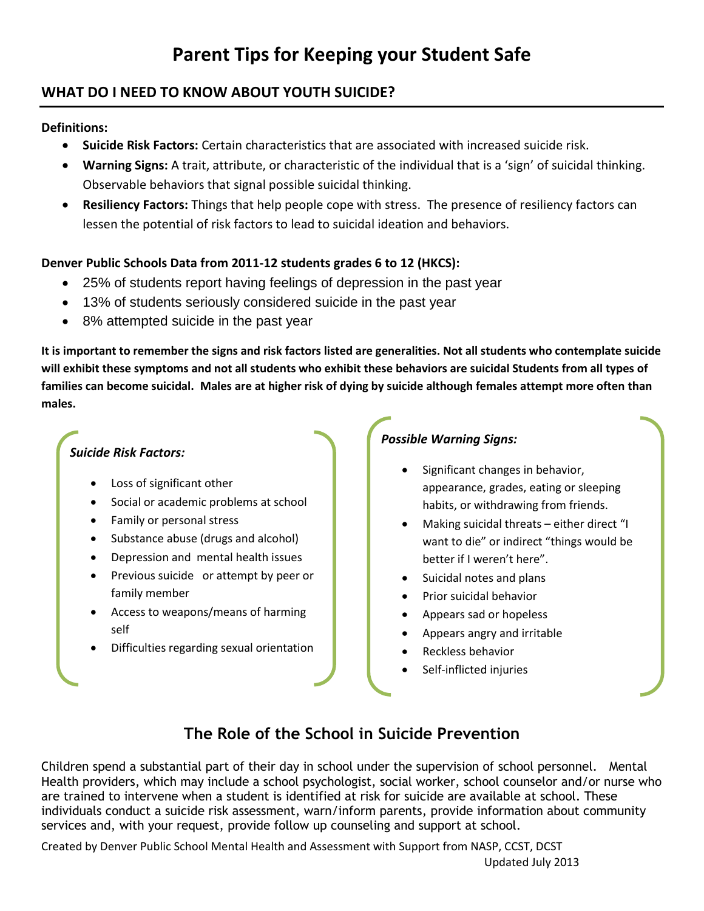# **Parent Tips for Keeping your Student Safe**

### **WHAT DO I NEED TO KNOW ABOUT YOUTH SUICIDE?**

#### **Definitions:**

- **Suicide Risk Factors:** Certain characteristics that are associated with increased suicide risk.
- **Warning Signs:** A trait, attribute, or characteristic of the individual that is a 'sign' of suicidal thinking. Observable behaviors that signal possible suicidal thinking.
- **Resiliency Factors:** Things that help people cope with stress. The presence of resiliency factors can lessen the potential of risk factors to lead to suicidal ideation and behaviors.

### **Denver Public Schools Data from 2011-12 students grades 6 to 12 (HKCS):**

- 25% of students report having feelings of depression in the past year
- 13% of students seriously considered suicide in the past year
- 8% attempted suicide in the past year

**It is important to remember the signs and risk factors listed are generalities. Not all students who contemplate suicide will exhibit these symptoms and not all students who exhibit these behaviors are suicidal Students from all types of families can become suicidal. Males are at higher risk of dying by suicide although females attempt more often than males.**

### *Suicide Risk Factors:*

- Loss of significant other
- Social or academic problems at school
- Family or personal stress
- Substance abuse (drugs and alcohol)
- Depression and mental health issues
- Previous suicide or attempt by peer or family member
- Access to weapons/means of harming self
- Difficulties regarding sexual orientation

### *Possible Warning Signs:*

- Significant changes in behavior, appearance, grades, eating or sleeping habits, or withdrawing from friends.
- Making suicidal threats either direct "I want to die" or indirect "things would be better if I weren't here".
- Suicidal notes and plans
- Prior suicidal behavior
- Appears sad or hopeless
- Appears angry and irritable
- Reckless behavior
- Self-inflicted injuries

## **The Role of the School in Suicide Prevention**

Children spend a substantial part of their day in school under the supervision of school personnel. Mental Health providers, which may include a school psychologist, social worker, school counselor and/or nurse who are trained to intervene when a student is identified at risk for suicide are available at school. These individuals conduct a suicide risk assessment, warn/inform parents, provide information about community services and, with your request, provide follow up counseling and support at school.

Created by Denver Public School Mental Health and Assessment with Support from NASP, CCST, DCST Updated July 2013